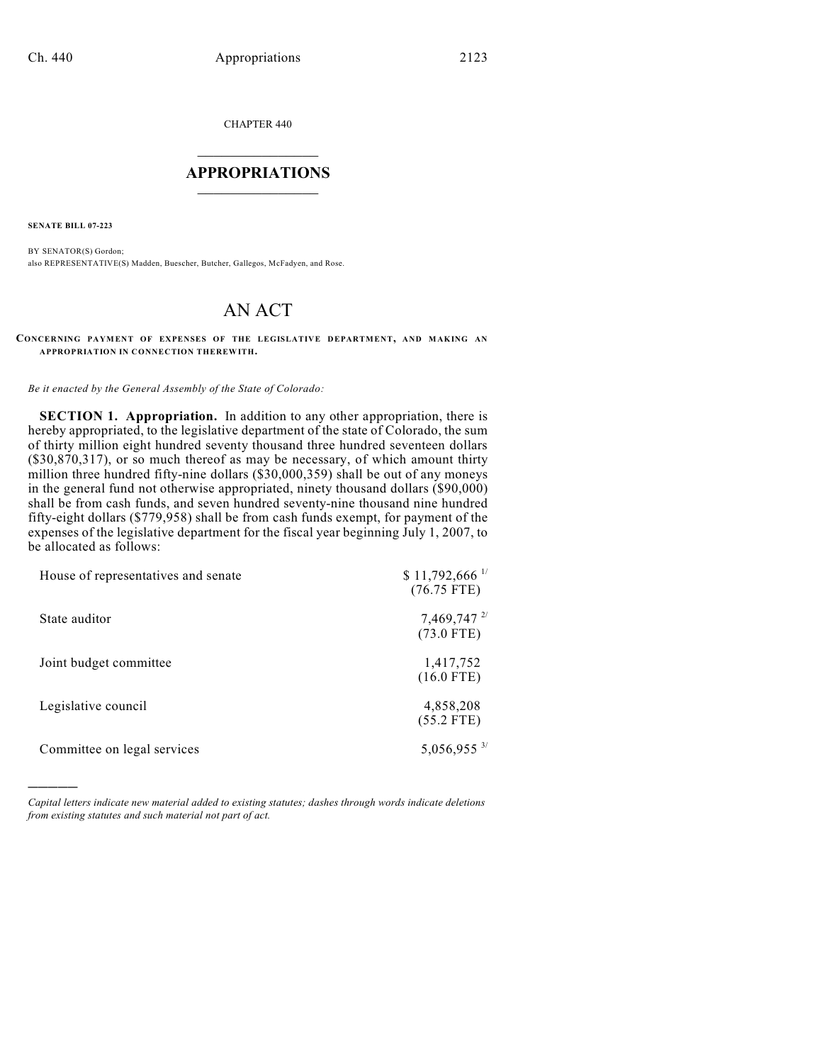CHAPTER 440

## $\overline{\phantom{a}}$  . The set of the set of the set of the set of the set of the set of the set of the set of the set of the set of the set of the set of the set of the set of the set of the set of the set of the set of the set o **APPROPRIATIONS**  $\_$   $\_$   $\_$   $\_$   $\_$   $\_$   $\_$   $\_$

**SENATE BILL 07-223**

)))))

BY SENATOR(S) Gordon; also REPRESENTATIVE(S) Madden, Buescher, Butcher, Gallegos, McFadyen, and Rose.

## AN ACT

## **CONCERNING PAYMENT OF EXPENSES OF THE LEGISLATIVE DEPARTMENT, AND MAKING AN APPROPRIATION IN CONNECTION THEREWITH.**

*Be it enacted by the General Assembly of the State of Colorado:*

**SECTION 1. Appropriation.** In addition to any other appropriation, there is hereby appropriated, to the legislative department of the state of Colorado, the sum of thirty million eight hundred seventy thousand three hundred seventeen dollars  $(\$30,870,317)$ , or so much thereof as may be necessary, of which amount thirty million three hundred fifty-nine dollars (\$30,000,359) shall be out of any moneys in the general fund not otherwise appropriated, ninety thousand dollars (\$90,000) shall be from cash funds, and seven hundred seventy-nine thousand nine hundred fifty-eight dollars (\$779,958) shall be from cash funds exempt, for payment of the expenses of the legislative department for the fiscal year beginning July 1, 2007, to be allocated as follows:

| House of representatives and senate | $$11,792,666$ <sup>1/</sup><br>$(76.75$ FTE)      |
|-------------------------------------|---------------------------------------------------|
| State auditor                       | $7,469,747$ <sup>2/</sup><br>$(73.0 \text{ FTE})$ |
| Joint budget committee              | 1,417,752<br>$(16.0$ FTE)                         |
| Legislative council                 | 4,858,208<br>$(55.2$ FTE)                         |
| Committee on legal services         | 5,056,955 3/                                      |

*Capital letters indicate new material added to existing statutes; dashes through words indicate deletions from existing statutes and such material not part of act.*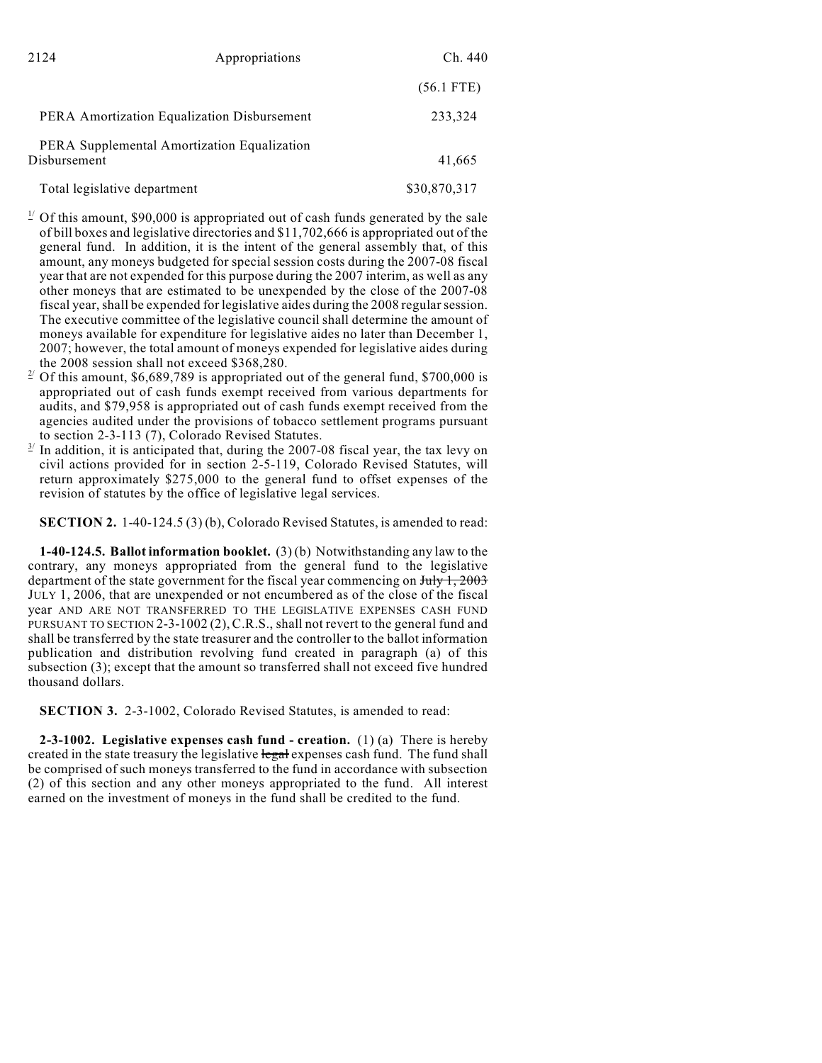| 2124                                                        | Appropriations                              | Ch. 440      |
|-------------------------------------------------------------|---------------------------------------------|--------------|
|                                                             |                                             | $(56.1$ FTE) |
|                                                             | PERA Amortization Equalization Disbursement | 233,324      |
| PERA Supplemental Amortization Equalization<br>Disbursement |                                             | 41,665       |
| Total legislative department                                |                                             | \$30,870,317 |

- $\frac{1}{2}$  Of this amount, \$90,000 is appropriated out of cash funds generated by the sale of bill boxes and legislative directories and \$11,702,666 is appropriated out of the general fund. In addition, it is the intent of the general assembly that, of this amount, any moneys budgeted for special session costs during the 2007-08 fiscal year that are not expended for this purpose during the 2007 interim, as well as any other moneys that are estimated to be unexpended by the close of the 2007-08 fiscal year, shall be expended for legislative aides during the 2008 regular session. The executive committee of the legislative council shall determine the amount of moneys available for expenditure for legislative aides no later than December 1, 2007; however, the total amount of moneys expended for legislative aides during the 2008 session shall not exceed \$368,280.
- <sup>2</sup> Of this amount, \$6,689,789 is appropriated out of the general fund, \$700,000 is appropriated out of cash funds exempt received from various departments for audits, and \$79,958 is appropriated out of cash funds exempt received from the agencies audited under the provisions of tobacco settlement programs pursuant to section 2-3-113 (7), Colorado Revised Statutes.
- $\frac{3}{2}$  In addition, it is anticipated that, during the 2007-08 fiscal year, the tax levy on civil actions provided for in section 2-5-119, Colorado Revised Statutes, will return approximately \$275,000 to the general fund to offset expenses of the revision of statutes by the office of legislative legal services.

**SECTION 2.** 1-40-124.5 (3) (b), Colorado Revised Statutes, is amended to read:

**1-40-124.5. Ballot information booklet.** (3) (b) Notwithstanding any law to the contrary, any moneys appropriated from the general fund to the legislative department of the state government for the fiscal year commencing on  $\frac{\text{July }1, 2003}{1, 2003}$ JULY 1, 2006, that are unexpended or not encumbered as of the close of the fiscal year AND ARE NOT TRANSFERRED TO THE LEGISLATIVE EXPENSES CASH FUND PURSUANT TO SECTION 2-3-1002 (2), C.R.S., shall not revert to the general fund and shall be transferred by the state treasurer and the controller to the ballot information publication and distribution revolving fund created in paragraph (a) of this subsection (3); except that the amount so transferred shall not exceed five hundred thousand dollars.

**SECTION 3.** 2-3-1002, Colorado Revised Statutes, is amended to read:

**2-3-1002. Legislative expenses cash fund - creation.** (1) (a) There is hereby created in the state treasury the legislative legal expenses cash fund. The fund shall be comprised of such moneys transferred to the fund in accordance with subsection (2) of this section and any other moneys appropriated to the fund. All interest earned on the investment of moneys in the fund shall be credited to the fund.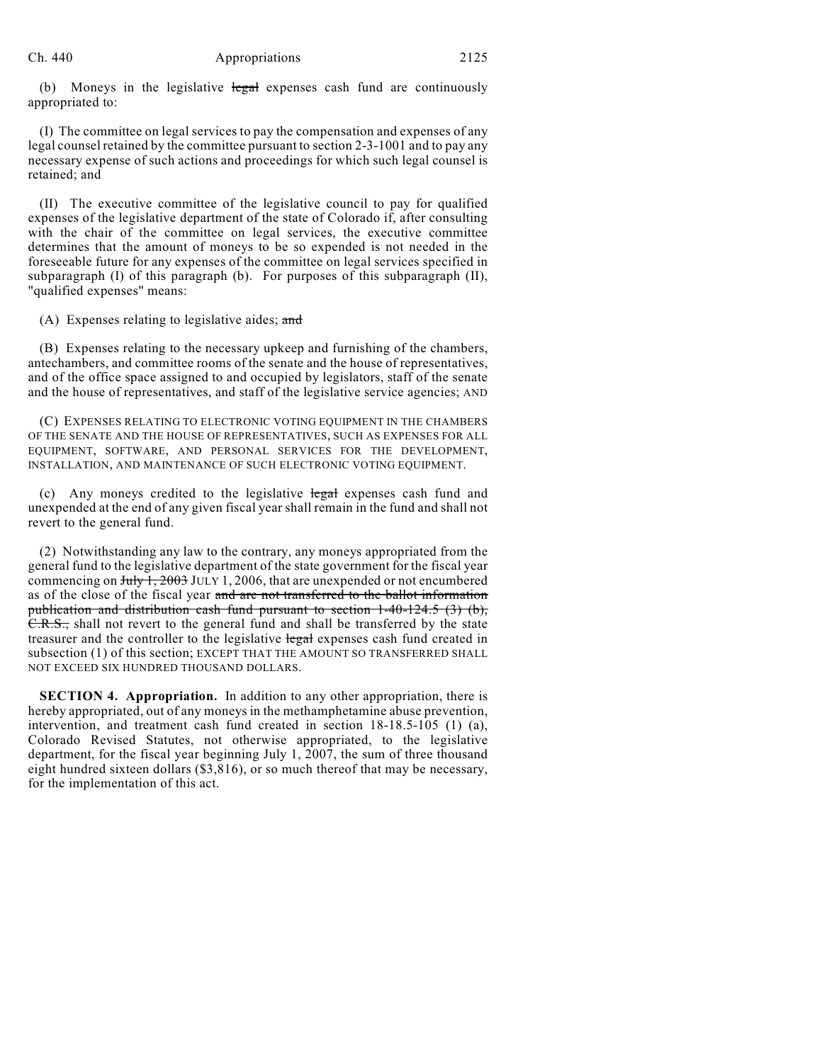(b) Moneys in the legislative  $\frac{1}{2}$  expenses cash fund are continuously appropriated to:

(I) The committee on legal services to pay the compensation and expenses of any legal counsel retained by the committee pursuant to section 2-3-1001 and to pay any necessary expense of such actions and proceedings for which such legal counsel is retained; and

(II) The executive committee of the legislative council to pay for qualified expenses of the legislative department of the state of Colorado if, after consulting with the chair of the committee on legal services, the executive committee determines that the amount of moneys to be so expended is not needed in the foreseeable future for any expenses of the committee on legal services specified in subparagraph (I) of this paragraph (b). For purposes of this subparagraph (II), "qualified expenses" means:

(A) Expenses relating to legislative aides; and

(B) Expenses relating to the necessary upkeep and furnishing of the chambers, antechambers, and committee rooms of the senate and the house of representatives, and of the office space assigned to and occupied by legislators, staff of the senate and the house of representatives, and staff of the legislative service agencies; AND

(C) EXPENSES RELATING TO ELECTRONIC VOTING EQUIPMENT IN THE CHAMBERS OF THE SENATE AND THE HOUSE OF REPRESENTATIVES, SUCH AS EXPENSES FOR ALL EQUIPMENT, SOFTWARE, AND PERSONAL SERVICES FOR THE DEVELOPMENT, INSTALLATION, AND MAINTENANCE OF SUCH ELECTRONIC VOTING EQUIPMENT.

(c) Any moneys credited to the legislative legal expenses cash fund and unexpended at the end of any given fiscal year shall remain in the fund and shall not revert to the general fund.

(2) Notwithstanding any law to the contrary, any moneys appropriated from the general fund to the legislative department of the state government for the fiscal year commencing on  $July 1, 2003$  JULY 1, 2006, that are unexpended or not encumbered as of the close of the fiscal year and are not transferred to the ballot information publication and distribution cash fund pursuant to section 1-40-124.5 (3) (b), C.R.S., shall not revert to the general fund and shall be transferred by the state treasurer and the controller to the legislative legal expenses cash fund created in subsection (1) of this section; EXCEPT THAT THE AMOUNT SO TRANSFERRED SHALL NOT EXCEED SIX HUNDRED THOUSAND DOLLARS.

**SECTION 4. Appropriation.** In addition to any other appropriation, there is hereby appropriated, out of any moneys in the methamphetamine abuse prevention, intervention, and treatment cash fund created in section 18-18.5-105 (1) (a), Colorado Revised Statutes, not otherwise appropriated, to the legislative department, for the fiscal year beginning July 1, 2007, the sum of three thousand eight hundred sixteen dollars (\$3,816), or so much thereof that may be necessary, for the implementation of this act.